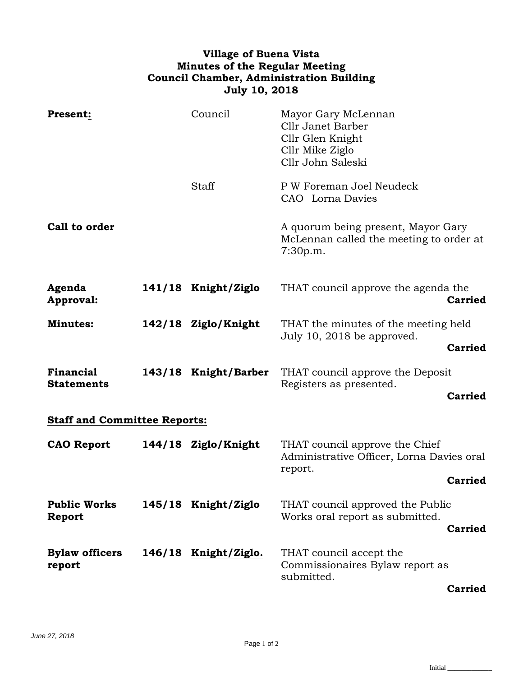## **Village of Buena Vista Minutes of the Regular Meeting Council Chamber, Administration Building July 10, 2018**

| <b>Present:</b>                       |  | Council              | Mayor Gary McLennan<br>Cllr Janet Barber<br>Cllr Glen Knight<br>Cllr Mike Ziglo<br>Cllr John Saleski |                |  |
|---------------------------------------|--|----------------------|------------------------------------------------------------------------------------------------------|----------------|--|
|                                       |  | Staff                | P W Foreman Joel Neudeck<br>CAO Lorna Davies                                                         |                |  |
| Call to order                         |  |                      | A quorum being present, Mayor Gary<br>McLennan called the meeting to order at<br>7:30p.m.            |                |  |
| Agenda<br>Approval:                   |  | 141/18 Knight/Ziglo  | THAT council approve the agenda the                                                                  | <b>Carried</b> |  |
| <b>Minutes:</b>                       |  | 142/18 Ziglo/Knight  | THAT the minutes of the meeting held<br>July 10, 2018 be approved.                                   |                |  |
|                                       |  |                      |                                                                                                      | <b>Carried</b> |  |
| <b>Financial</b><br><b>Statements</b> |  | 143/18 Knight/Barber | THAT council approve the Deposit<br>Registers as presented.                                          | <b>Carried</b> |  |
|                                       |  |                      |                                                                                                      |                |  |
| <b>Staff and Committee Reports:</b>   |  |                      |                                                                                                      |                |  |
| <b>CAO Report</b>                     |  | 144/18 Ziglo/Knight  | THAT council approve the Chief<br>Administrative Officer, Lorna Davies oral<br>report.               |                |  |
|                                       |  |                      |                                                                                                      | <b>Carried</b> |  |
| <b>Public Works</b><br>Report         |  | 145/18 Knight/Ziglo  | THAT council approved the Public<br>Works oral report as submitted.                                  |                |  |
|                                       |  |                      |                                                                                                      | <b>Carried</b> |  |
| <b>Bylaw officers</b><br>report       |  | 146/18 Knight/Ziglo. | THAT council accept the<br>Commissionaires Bylaw report as<br>submitted.                             | <b>Carried</b> |  |